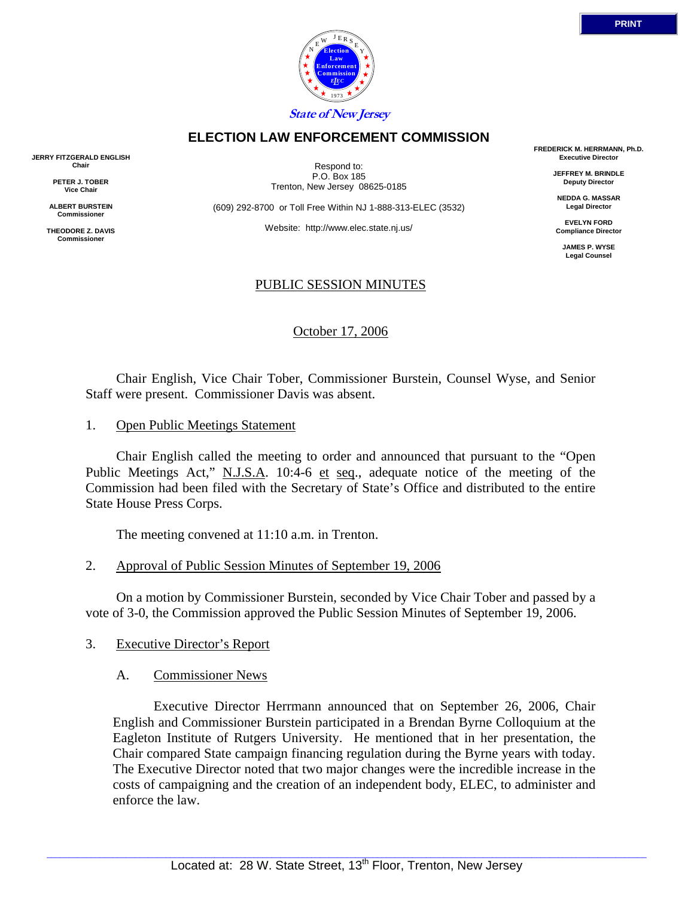

# **ELECTION LAW ENFORCEMENT COMMISSION**

**JERRY FITZGERALD ENGLISH Chair** 

> **PETER J. TOBER Vice Chair**

**ALBERT BURSTEIN Commissioner** 

**THEODORE Z. DAVIS Commissione** 

Respond to: P.O. Box 185 Trenton, New Jersey 08625-0185

(609) 292-8700 or Toll Free Within NJ 1-888-313-ELEC (3532)

Website: http://www.elec.state.nj.us/

## PUBLIC SESSION MINUTES

October 17, 2006

 Chair English, Vice Chair Tober, Commissioner Burstein, Counsel Wyse, and Senior Staff were present. Commissioner Davis was absent.

1. Open Public Meetings Statement

 Chair English called the meeting to order and announced that pursuant to the "Open Public Meetings Act," N.J.S.A. 10:4-6 et seq., adequate notice of the meeting of the Commission had been filed with the Secretary of State's Office and distributed to the entire State House Press Corps.

The meeting convened at 11:10 a.m. in Trenton.

2. Approval of Public Session Minutes of September 19, 2006

 On a motion by Commissioner Burstein, seconded by Vice Chair Tober and passed by a vote of 3-0, the Commission approved the Public Session Minutes of September 19, 2006.

- 3. Executive Director's Report
	- A. Commissioner News

 Executive Director Herrmann announced that on September 26, 2006, Chair English and Commissioner Burstein participated in a Brendan Byrne Colloquium at the Eagleton Institute of Rutgers University. He mentioned that in her presentation, the Chair compared State campaign financing regulation during the Byrne years with today. The Executive Director noted that two major changes were the incredible increase in the costs of campaigning and the creation of an independent body, ELEC, to administer and enforce the law.

**FREDERICK M. HERRMANN, Ph.D. Executive Director** 

> **JEFFREY M. BRINDLE Deputy Director**

**NEDDA G. MASSAR Legal Director** 

**EVELYN FORD Compliance Director** 

> **JAMES P. WYSE Legal Counsel**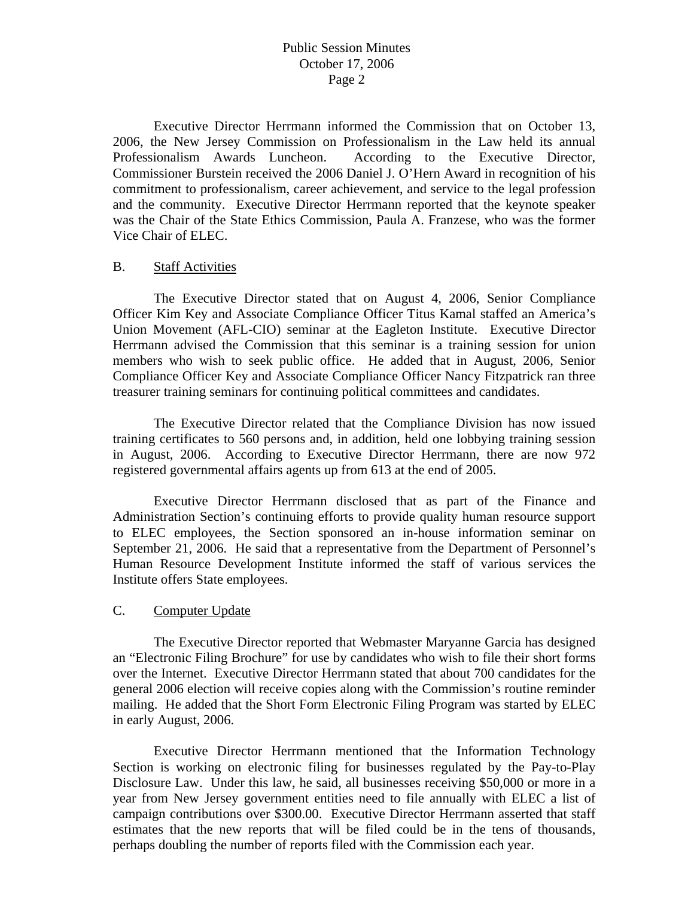# Public Session Minutes October 17, 2006 Page 2

 Executive Director Herrmann informed the Commission that on October 13, 2006, the New Jersey Commission on Professionalism in the Law held its annual Professionalism Awards Luncheon. According to the Executive Director, Commissioner Burstein received the 2006 Daniel J. O'Hern Award in recognition of his commitment to professionalism, career achievement, and service to the legal profession and the community. Executive Director Herrmann reported that the keynote speaker was the Chair of the State Ethics Commission, Paula A. Franzese, who was the former Vice Chair of ELEC.

## B. Staff Activities

 The Executive Director stated that on August 4, 2006, Senior Compliance Officer Kim Key and Associate Compliance Officer Titus Kamal staffed an America's Union Movement (AFL-CIO) seminar at the Eagleton Institute. Executive Director Herrmann advised the Commission that this seminar is a training session for union members who wish to seek public office. He added that in August, 2006, Senior Compliance Officer Key and Associate Compliance Officer Nancy Fitzpatrick ran three treasurer training seminars for continuing political committees and candidates.

 The Executive Director related that the Compliance Division has now issued training certificates to 560 persons and, in addition, held one lobbying training session in August, 2006. According to Executive Director Herrmann, there are now 972 registered governmental affairs agents up from 613 at the end of 2005.

 Executive Director Herrmann disclosed that as part of the Finance and Administration Section's continuing efforts to provide quality human resource support to ELEC employees, the Section sponsored an in-house information seminar on September 21, 2006. He said that a representative from the Department of Personnel's Human Resource Development Institute informed the staff of various services the Institute offers State employees.

## C. Computer Update

 The Executive Director reported that Webmaster Maryanne Garcia has designed an "Electronic Filing Brochure" for use by candidates who wish to file their short forms over the Internet. Executive Director Herrmann stated that about 700 candidates for the general 2006 election will receive copies along with the Commission's routine reminder mailing. He added that the Short Form Electronic Filing Program was started by ELEC in early August, 2006.

 Executive Director Herrmann mentioned that the Information Technology Section is working on electronic filing for businesses regulated by the Pay-to-Play Disclosure Law. Under this law, he said, all businesses receiving \$50,000 or more in a year from New Jersey government entities need to file annually with ELEC a list of campaign contributions over \$300.00. Executive Director Herrmann asserted that staff estimates that the new reports that will be filed could be in the tens of thousands, perhaps doubling the number of reports filed with the Commission each year.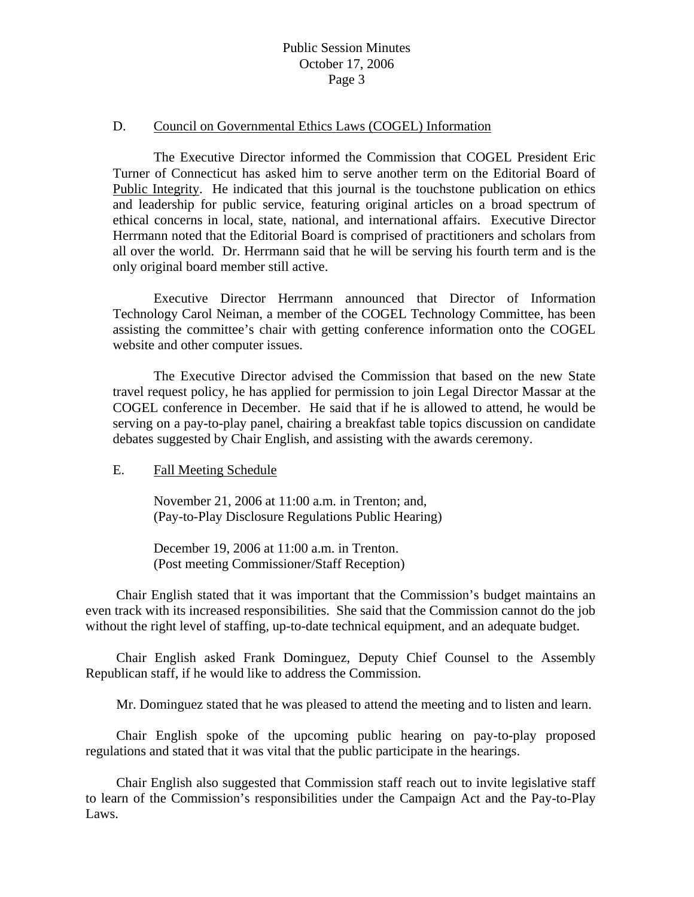# Public Session Minutes October 17, 2006 Page 3

#### D. Council on Governmental Ethics Laws (COGEL) Information

 The Executive Director informed the Commission that COGEL President Eric Turner of Connecticut has asked him to serve another term on the Editorial Board of Public Integrity. He indicated that this journal is the touchstone publication on ethics and leadership for public service, featuring original articles on a broad spectrum of ethical concerns in local, state, national, and international affairs. Executive Director Herrmann noted that the Editorial Board is comprised of practitioners and scholars from all over the world. Dr. Herrmann said that he will be serving his fourth term and is the only original board member still active.

 Executive Director Herrmann announced that Director of Information Technology Carol Neiman, a member of the COGEL Technology Committee, has been assisting the committee's chair with getting conference information onto the COGEL website and other computer issues.

 The Executive Director advised the Commission that based on the new State travel request policy, he has applied for permission to join Legal Director Massar at the COGEL conference in December. He said that if he is allowed to attend, he would be serving on a pay-to-play panel, chairing a breakfast table topics discussion on candidate debates suggested by Chair English, and assisting with the awards ceremony.

#### E. Fall Meeting Schedule

 November 21, 2006 at 11:00 a.m. in Trenton; and, (Pay-to-Play Disclosure Regulations Public Hearing)

 December 19, 2006 at 11:00 a.m. in Trenton. (Post meeting Commissioner/Staff Reception)

 Chair English stated that it was important that the Commission's budget maintains an even track with its increased responsibilities. She said that the Commission cannot do the job without the right level of staffing, up-to-date technical equipment, and an adequate budget.

 Chair English asked Frank Dominguez, Deputy Chief Counsel to the Assembly Republican staff, if he would like to address the Commission.

Mr. Dominguez stated that he was pleased to attend the meeting and to listen and learn.

 Chair English spoke of the upcoming public hearing on pay-to-play proposed regulations and stated that it was vital that the public participate in the hearings.

 Chair English also suggested that Commission staff reach out to invite legislative staff to learn of the Commission's responsibilities under the Campaign Act and the Pay-to-Play Laws.